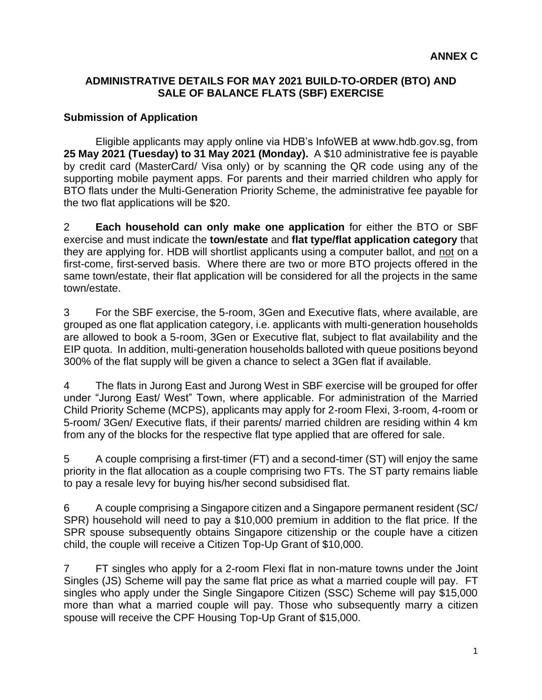#### **ADMINISTRATIVE DETAILS FOR MAY 2021 BUILD-TO-ORDER (BTO) AND SALE OF BALANCE FLATS (SBF) EXERCISE**

#### **Submission of Application**

Eligible applicants may apply online via HDB's InfoWEB at www.hdb.gov.sg, from **25 May 2021 (Tuesday) to 31 May 2021 (Monday).** A \$10 administrative fee is payable by credit card (MasterCard/ Visa only) or by scanning the QR code using any of the supporting mobile payment apps. For parents and their married children who apply for BTO flats under the Multi-Generation Priority Scheme, the administrative fee payable for the two flat applications will be \$20.

2 **Each household can only make one application** for either the BTO or SBF exercise and must indicate the **town/estate** and **flat type/flat application category** that they are applying for. HDB will shortlist applicants using a computer ballot, and not on a first-come, first-served basis. Where there are two or more BTO projects offered in the same town/estate, their flat application will be considered for all the projects in the same town/estate.

3 For the SBF exercise, the 5-room, 3Gen and Executive flats, where available, are grouped as one flat application category, i.e. applicants with multi-generation households are allowed to book a 5-room, 3Gen or Executive flat, subject to flat availability and the EIP quota. In addition, multi-generation households balloted with queue positions beyond 300% of the flat supply will be given a chance to select a 3Gen flat if available.

4 The flats in Jurong East and Jurong West in SBF exercise will be grouped for offer under "Jurong East/ West" Town, where applicable. For administration of the Married Child Priority Scheme (MCPS), applicants may apply for 2-room Flexi, 3-room, 4-room or 5-room/ 3Gen/ Executive flats, if their parents/ married children are residing within 4 km from any of the blocks for the respective flat type applied that are offered for sale.

5 A couple comprising a first-timer (FT) and a second-timer (ST) will enjoy the same priority in the flat allocation as a couple comprising two FTs. The ST party remains liable to pay a resale levy for buying his/her second subsidised flat.

6 A couple comprising a Singapore citizen and a Singapore permanent resident (SC/ SPR) household will need to pay a \$10,000 premium in addition to the flat price. If the SPR spouse subsequently obtains Singapore citizenship or the couple have a citizen child, the couple will receive a Citizen Top-Up Grant of \$10,000.

7 FT singles who apply for a 2-room Flexi flat in non-mature towns under the Joint Singles (JS) Scheme will pay the same flat price as what a married couple will pay. FT singles who apply under the Single Singapore Citizen (SSC) Scheme will pay \$15,000 more than what a married couple will pay. Those who subsequently marry a citizen spouse will receive the CPF Housing Top-Up Grant of \$15,000.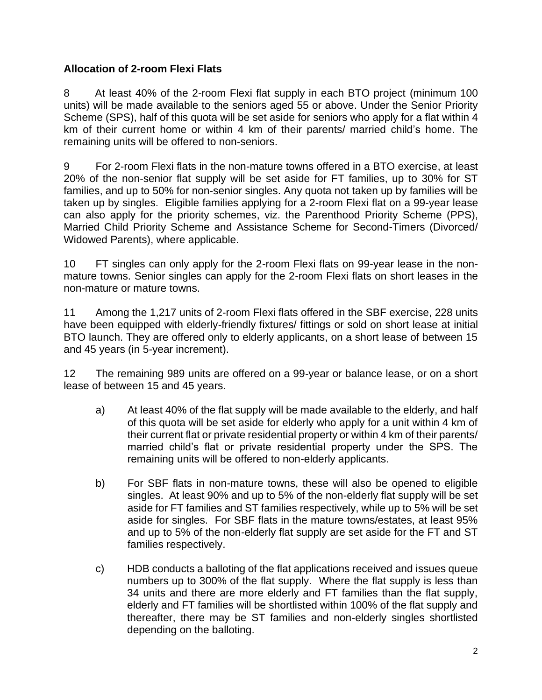## **Allocation of 2-room Flexi Flats**

8 At least 40% of the 2-room Flexi flat supply in each BTO project (minimum 100 units) will be made available to the seniors aged 55 or above. Under the Senior Priority Scheme (SPS), half of this quota will be set aside for seniors who apply for a flat within 4 km of their current home or within 4 km of their parents/ married child's home. The remaining units will be offered to non-seniors.

9 For 2-room Flexi flats in the non-mature towns offered in a BTO exercise, at least 20% of the non-senior flat supply will be set aside for FT families, up to 30% for ST families, and up to 50% for non-senior singles. Any quota not taken up by families will be taken up by singles. Eligible families applying for a 2-room Flexi flat on a 99-year lease can also apply for the priority schemes, viz. the Parenthood Priority Scheme (PPS), Married Child Priority Scheme and Assistance Scheme for Second-Timers (Divorced/ Widowed Parents), where applicable.

10 FT singles can only apply for the 2-room Flexi flats on 99-year lease in the nonmature towns. Senior singles can apply for the 2-room Flexi flats on short leases in the non-mature or mature towns.

11 Among the 1,217 units of 2-room Flexi flats offered in the SBF exercise, 228 units have been equipped with elderly-friendly fixtures/ fittings or sold on short lease at initial BTO launch. They are offered only to elderly applicants, on a short lease of between 15 and 45 years (in 5-year increment).

12 The remaining 989 units are offered on a 99-year or balance lease, or on a short lease of between 15 and 45 years.

- a) At least 40% of the flat supply will be made available to the elderly, and half of this quota will be set aside for elderly who apply for a unit within 4 km of their current flat or private residential property or within 4 km of their parents/ married child's flat or private residential property under the SPS. The remaining units will be offered to non-elderly applicants.
- b) For SBF flats in non-mature towns, these will also be opened to eligible singles. At least 90% and up to 5% of the non-elderly flat supply will be set aside for FT families and ST families respectively, while up to 5% will be set aside for singles. For SBF flats in the mature towns/estates, at least 95% and up to 5% of the non-elderly flat supply are set aside for the FT and ST families respectively.
- c) HDB conducts a balloting of the flat applications received and issues queue numbers up to 300% of the flat supply. Where the flat supply is less than 34 units and there are more elderly and FT families than the flat supply, elderly and FT families will be shortlisted within 100% of the flat supply and thereafter, there may be ST families and non-elderly singles shortlisted depending on the balloting.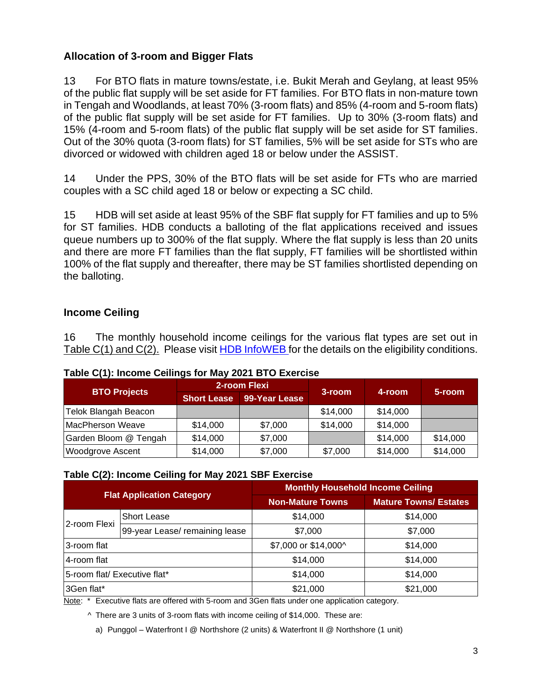## **Allocation of 3-room and Bigger Flats**

13 For BTO flats in mature towns/estate, i.e. Bukit Merah and Geylang, at least 95% of the public flat supply will be set aside for FT families. For BTO flats in non-mature town in Tengah and Woodlands, at least 70% (3-room flats) and 85% (4-room and 5-room flats) of the public flat supply will be set aside for FT families. Up to 30% (3-room flats) and 15% (4-room and 5-room flats) of the public flat supply will be set aside for ST families. Out of the 30% quota (3-room flats) for ST families, 5% will be set aside for STs who are divorced or widowed with children aged 18 or below under the ASSIST.

14 Under the PPS, 30% of the BTO flats will be set aside for FTs who are married couples with a SC child aged 18 or below or expecting a SC child.

15 HDB will set aside at least 95% of the SBF flat supply for FT families and up to 5% for ST families. HDB conducts a balloting of the flat applications received and issues queue numbers up to 300% of the flat supply. Where the flat supply is less than 20 units and there are more FT families than the flat supply, FT families will be shortlisted within 100% of the flat supply and thereafter, there may be ST families shortlisted depending on the balloting.

## **Income Ceiling**

16 The monthly household income ceilings for the various flat types are set out in Table C(1) and C(2). Please visit [HDB InfoWEB](https://www.hdb.gov.sg/residential/buying-a-flat/new/eligibility) for the details on the eligibility conditions.

| <b>BTO Projects</b>     | Table $Q(T)$ . Moonig Johnnyo Tor May 2021 BTO EAGROOD<br>2-room Flexi |               |          |          |          |
|-------------------------|------------------------------------------------------------------------|---------------|----------|----------|----------|
|                         | <b>Short Lease</b>                                                     | 99-Year Lease | 3-room   | 4-room   | 5-room   |
| Telok Blangah Beacon    |                                                                        |               | \$14,000 | \$14,000 |          |
| MacPherson Weave        | \$14,000                                                               | \$7,000       | \$14,000 | \$14,000 |          |
| Garden Bloom @ Tengah   | \$14,000                                                               | \$7,000       |          | \$14,000 | \$14,000 |
| <b>Woodgrove Ascent</b> | \$14,000                                                               | \$7,000       | \$7,000  | \$14,000 | \$14,000 |

#### **Table C(1): Income Ceilings for May 2021 BTO Exercise**

#### **Table C(2): Income Ceiling for May 2021 SBF Exercise**

| <b>Flat Application Category</b> |                                | <b>Monthly Household Income Ceiling</b> |                              |  |  |
|----------------------------------|--------------------------------|-----------------------------------------|------------------------------|--|--|
|                                  |                                | <b>Non-Mature Towns</b>                 | <b>Mature Towns/ Estates</b> |  |  |
| 2-room Flexi                     | Short Lease                    | \$14,000                                | \$14,000                     |  |  |
|                                  | 99-year Lease/ remaining lease | \$7,000                                 | \$7,000                      |  |  |
| 3-room flat                      |                                | \$7,000 or \$14,000^                    | \$14,000                     |  |  |
| 4-room flat                      |                                | \$14,000                                | \$14,000                     |  |  |
| 5-room flat/ Executive flat*     |                                | \$14,000                                | \$14,000                     |  |  |
| 3Gen flat*                       |                                | \$21,000                                | \$21,000                     |  |  |

Note: \* Executive flats are offered with 5-room and 3Gen flats under one application category.

^ There are 3 units of 3-room flats with income ceiling of \$14,000. These are:

a) Punggol – Waterfront I @ Northshore (2 units) & Waterfront II @ Northshore (1 unit)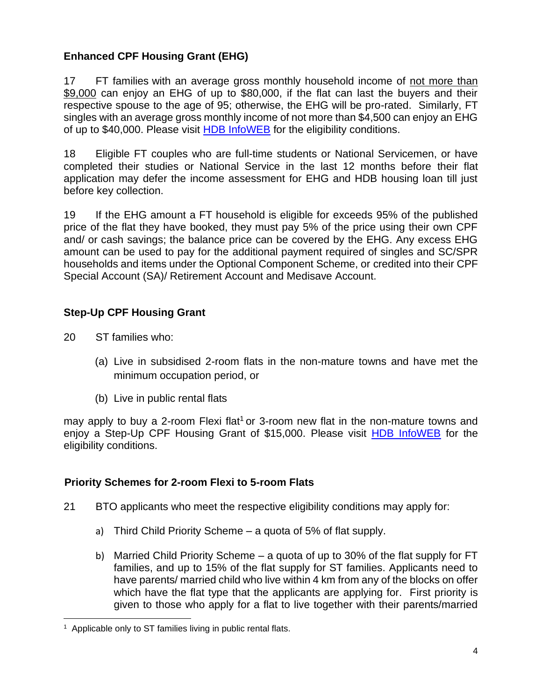## **Enhanced CPF Housing Grant (EHG)**

17 FT families with an average gross monthly household income of not more than \$9,000 can enjoy an EHG of up to \$80,000, if the flat can last the buyers and their respective spouse to the age of 95; otherwise, the EHG will be pro-rated. Similarly, FT singles with an average gross monthly income of not more than \$4,500 can enjoy an EHG of up to \$40,000. Please visit [HDB InfoWEB](https://www.hdb.gov.sg/cs/infoweb/residential/buying-a-flat/new/schemes-and-grants/cpf-housing-grants-for-hdb-flats/firsttimer-applicants) for the eligibility conditions.

18 Eligible FT couples who are full-time students or National Servicemen, or have completed their studies or National Service in the last 12 months before their flat application may defer the income assessment for EHG and HDB housing loan till just before key collection.

19 If the EHG amount a FT household is eligible for exceeds 95% of the published price of the flat they have booked, they must pay 5% of the price using their own CPF and/ or cash savings; the balance price can be covered by the EHG. Any excess EHG amount can be used to pay for the additional payment required of singles and SC/SPR households and items under the Optional Component Scheme, or credited into their CPF Special Account (SA)/ Retirement Account and Medisave Account.

## **Step-Up CPF Housing Grant**

20 ST families who:

- (a) Live in subsidised 2-room flats in the non-mature towns and have met the minimum occupation period, or
- (b) Live in public rental flats

may apply to buy a 2-room Flexi flat<sup>1</sup> or 3-room new flat in the non-mature towns and enjoy a Step-Up CPF Housing Grant of \$15,000. Please visit [HDB InfoWEB](https://www.hdb.gov.sg/residential/buying-a-flat/new/schemes-and-grants/cpf-housing-grants-for-hdb-flats/secondtimer-applicants) for the eligibility conditions.

### **Priority Schemes for 2-room Flexi to 5-room Flats**

- 21 BTO applicants who meet the respective eligibility conditions may apply for:
	- a) Third Child Priority Scheme a quota of 5% of flat supply.
	- b) Married Child Priority Scheme a quota of up to 30% of the flat supply for FT families, and up to 15% of the flat supply for ST families. Applicants need to have parents/ married child who live within 4 km from any of the blocks on offer which have the flat type that the applicants are applying for. First priority is given to those who apply for a flat to live together with their parents/married

<sup>&</sup>lt;sup>1</sup> Applicable only to ST families living in public rental flats.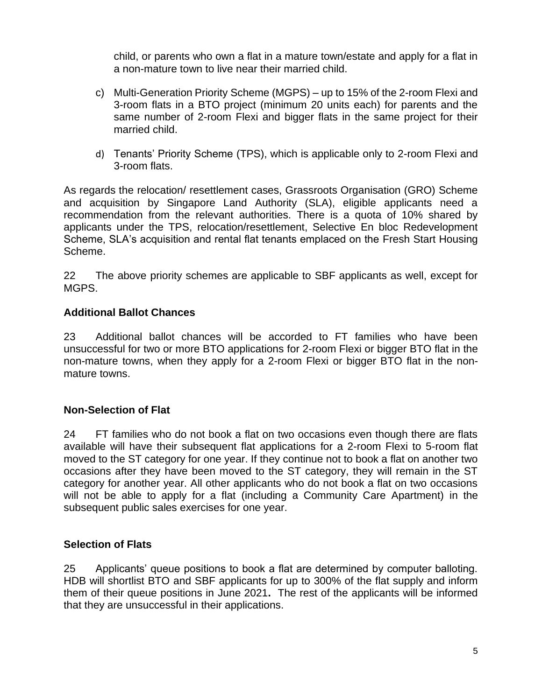child, or parents who own a flat in a mature town/estate and apply for a flat in a non-mature town to live near their married child.

- c) Multi-Generation Priority Scheme (MGPS) up to 15% of the 2-room Flexi and 3-room flats in a BTO project (minimum 20 units each) for parents and the same number of 2-room Flexi and bigger flats in the same project for their married child.
- d) Tenants' Priority Scheme (TPS), which is applicable only to 2-room Flexi and 3-room flats.

As regards the relocation/ resettlement cases, Grassroots Organisation (GRO) Scheme and acquisition by Singapore Land Authority (SLA), eligible applicants need a recommendation from the relevant authorities. There is a quota of 10% shared by applicants under the TPS, relocation/resettlement, Selective En bloc Redevelopment Scheme, SLA's acquisition and rental flat tenants emplaced on the Fresh Start Housing Scheme.

22 The above priority schemes are applicable to SBF applicants as well, except for MGPS.

### **Additional Ballot Chances**

23 Additional ballot chances will be accorded to FT families who have been unsuccessful for two or more BTO applications for 2-room Flexi or bigger BTO flat in the non-mature towns, when they apply for a 2-room Flexi or bigger BTO flat in the nonmature towns.

#### **Non-Selection of Flat**

24 FT families who do not book a flat on two occasions even though there are flats available will have their subsequent flat applications for a 2-room Flexi to 5-room flat moved to the ST category for one year. If they continue not to book a flat on another two occasions after they have been moved to the ST category, they will remain in the ST category for another year. All other applicants who do not book a flat on two occasions will not be able to apply for a flat (including a Community Care Apartment) in the subsequent public sales exercises for one year.

#### **Selection of Flats**

25 Applicants' queue positions to book a flat are determined by computer balloting. HDB will shortlist BTO and SBF applicants for up to 300% of the flat supply and inform them of their queue positions in June 2021**.** The rest of the applicants will be informed that they are unsuccessful in their applications.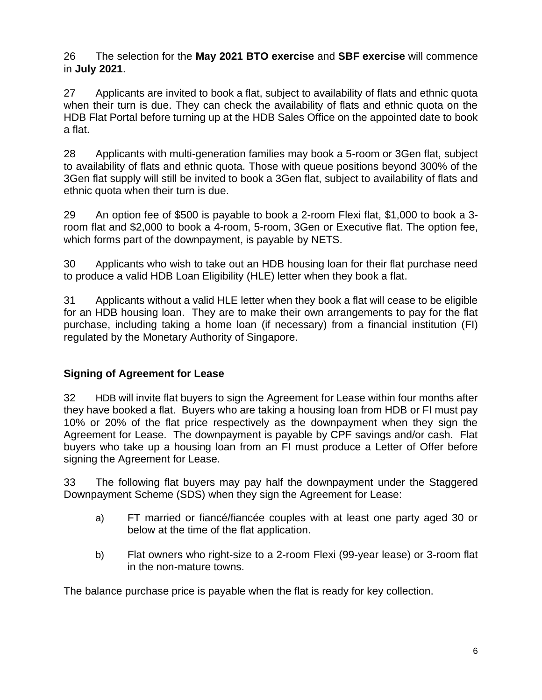26 The selection for the **May 2021 BTO exercise** and **SBF exercise** will commence in **July 2021**.

27 Applicants are invited to book a flat, subject to availability of flats and ethnic quota when their turn is due. They can check the availability of flats and ethnic quota on the HDB Flat Portal before turning up at the HDB Sales Office on the appointed date to book a flat.

28 Applicants with multi-generation families may book a 5-room or 3Gen flat, subject to availability of flats and ethnic quota. Those with queue positions beyond 300% of the 3Gen flat supply will still be invited to book a 3Gen flat, subject to availability of flats and ethnic quota when their turn is due.

29 An option fee of \$500 is payable to book a 2-room Flexi flat, \$1,000 to book a 3 room flat and \$2,000 to book a 4-room, 5-room, 3Gen or Executive flat. The option fee, which forms part of the downpayment, is payable by NETS.

30 Applicants who wish to take out an HDB housing loan for their flat purchase need to produce a valid HDB Loan Eligibility [\(HLE\) letter](http://www.hdb.gov.sg/fi10/fi10321p.nsf/w/HLHDBWhen?OpenDocument) when they book a flat.

31 Applicants without a valid HLE letter when they book a flat will cease to be eligible for an HDB housing loan. They are to make their own arrangements to pay for the flat purchase, including taking a home loan (if necessary) from a financial institution (FI) regulated by the Monetary Authority of Singapore.

# **Signing of Agreement for Lease**

32 HDB will invite flat buyers to sign the Agreement for Lease within four months after they have booked a flat. Buyers who are taking a housing loan from HDB or FI must pay 10% or 20% of the flat price respectively as the downpayment when they sign the Agreement for Lease. The downpayment is payable by CPF savings and/or cash. Flat buyers who take up a housing loan from an FI must produce a Letter of Offer before signing the Agreement for Lease.

33 The following flat buyers may pay half the downpayment under the Staggered Downpayment Scheme (SDS) when they sign the Agreement for Lease:

- a) FT married or fiancé/fiancée couples with at least one party aged 30 or below at the time of the flat application.
- b) Flat owners who right-size to a 2-room Flexi (99-year lease) or 3-room flat in the non-mature towns.

The balance purchase price is payable when the flat is ready for key collection.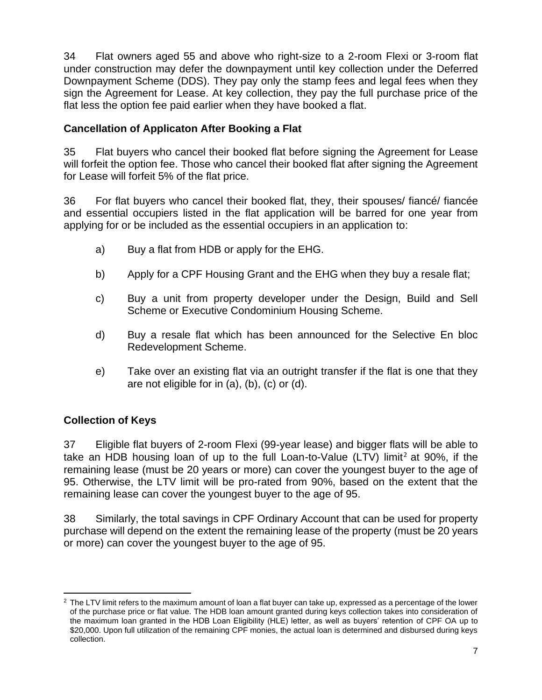34 Flat owners aged 55 and above who right-size to a 2-room Flexi or 3-room flat under construction may defer the downpayment until key collection under the Deferred Downpayment Scheme (DDS). They pay only the stamp fees and legal fees when they sign the Agreement for Lease. At key collection, they pay the full purchase price of the flat less the option fee paid earlier when they have booked a flat.

## **Cancellation of Applicaton After Booking a Flat**

35 Flat buyers who cancel their booked flat before signing the Agreement for Lease will forfeit the option fee. Those who cancel their booked flat after signing the Agreement for Lease will forfeit 5% of the flat price.

36 For flat buyers who cancel their booked flat, they, their spouses/ fiancé/ fiancée and essential occupiers listed in the flat application will be barred for one year from applying for or be included as the essential occupiers in an application to:

- a) Buy a flat from HDB or apply for the EHG.
- b) Apply for a CPF Housing Grant and the EHG when they buy a resale flat;
- c) Buy a unit from property developer under the Design, Build and Sell Scheme or Executive Condominium Housing Scheme.
- d) Buy a resale flat which has been announced for the Selective En bloc Redevelopment Scheme.
- e) Take over an existing flat via an outright transfer if the flat is one that they are not eligible for in (a), (b), (c) or (d).

# **Collection of Keys**

37 Eligible flat buyers of 2-room Flexi (99-year lease) and bigger flats will be able to take an HDB housing loan of up to the full Loan-to-Value (LTV) limit<sup>2</sup> at 90%, if the remaining lease (must be 20 years or more) can cover the youngest buyer to the age of 95. Otherwise, the LTV limit will be pro-rated from 90%, based on the extent that the remaining lease can cover the youngest buyer to the age of 95.

38 Similarly, the total savings in CPF Ordinary Account that can be used for property purchase will depend on the extent the remaining lease of the property (must be 20 years or more) can cover the youngest buyer to the age of 95.

 $2$  The LTV limit refers to the maximum amount of loan a flat buyer can take up, expressed as a percentage of the lower of the purchase price or flat value. The HDB loan amount granted during keys collection takes into consideration of the maximum loan granted in the HDB Loan Eligibility (HLE) letter, as well as buyers' retention of CPF OA up to \$20,000. Upon full utilization of the remaining CPF monies, the actual loan is determined and disbursed during keys collection.